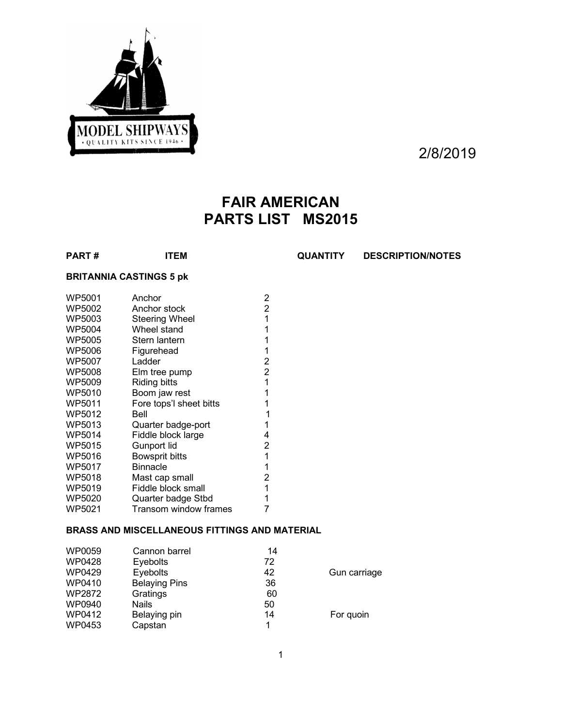

2/8/2019

# **FAIR AMERICAN PARTS LIST MS2015**

**PART # ITEM QUANTITY DESCRIPTION/NOTES**

## **BRITANNIA CASTINGS 5 pk**

| WP5001        | Anchor                  | 2 |
|---------------|-------------------------|---|
| WP5002        | Anchor stock            | 2 |
| WP5003        | <b>Steering Wheel</b>   | 1 |
| WP5004        | Wheel stand             | 1 |
| <b>WP5005</b> | Stern lantern           | 1 |
| WP5006        | Figurehead              | 1 |
| WP5007        | Ladder                  | 2 |
| WP5008        | Elm tree pump           | 2 |
| WP5009        | Riding bitts            | 1 |
| WP5010        | Boom jaw rest           | 1 |
| WP5011        | Fore tops'l sheet bitts | 1 |
| WP5012        | Bell                    | 1 |
| WP5013        | Quarter badge-port      | 1 |
| WP5014        | Fiddle block large      | 4 |
| WP5015        | Gunport lid             | 2 |
| WP5016        | <b>Bowsprit bitts</b>   | 1 |
| WP5017        | <b>Binnacle</b>         | 1 |
| WP5018        | Mast cap small          | 2 |
| WP5019        | Fiddle block small      | 1 |
| WP5020        | Quarter badge Stbd      |   |
| WP5021        | Transom window frames   |   |

# **BRASS AND MISCELLANEOUS FITTINGS AND MATERIAL**

| WP0059 | Cannon barrel        | 14 |              |
|--------|----------------------|----|--------------|
| WP0428 | <b>Eyebolts</b>      | 72 |              |
| WP0429 | Eyebolts             | 42 | Gun carriage |
| WP0410 | <b>Belaying Pins</b> | 36 |              |
| WP2872 | Gratings             | 60 |              |
| WP0940 | <b>Nails</b>         | 50 |              |
| WP0412 | Belaying pin         | 14 | For quoin    |
| WP0453 | Capstan              | 1  |              |
|        |                      |    |              |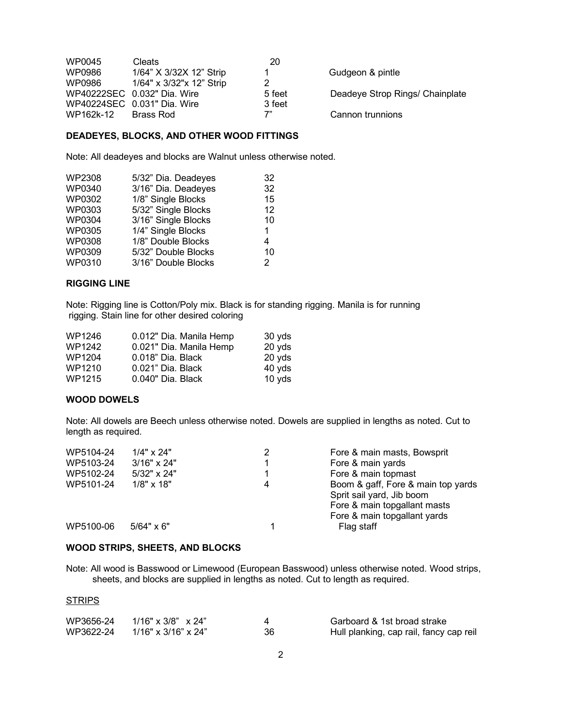| WP0045    | <b>Cleats</b>               | 20     |                                 |
|-----------|-----------------------------|--------|---------------------------------|
| WP0986    | 1/64" X 3/32X 12" Strip     |        | Gudgeon & pintle                |
| WP0986    | 1/64" x 3/32" x 12" Strip   |        |                                 |
|           | WP40222SEC 0.032" Dia. Wire | 5 feet | Deadeye Strop Rings/ Chainplate |
|           | WP40224SEC 0.031" Dia. Wire | 3 feet |                                 |
| WP162k-12 | Brass Rod                   | 7"     | Cannon trunnions                |

### **DEADEYES, BLOCKS, AND OTHER WOOD FITTINGS**

Note: All deadeyes and blocks are Walnut unless otherwise noted.

| WP2308        | 5/32" Dia. Deadeyes | 32            |
|---------------|---------------------|---------------|
| <b>WP0340</b> | 3/16" Dia. Deadeyes | 32            |
| WP0302        | 1/8" Single Blocks  | 15            |
| WP0303        | 5/32" Single Blocks | 12            |
| <b>WP0304</b> | 3/16" Single Blocks | 10            |
| <b>WP0305</b> | 1/4" Single Blocks  | $\mathbf 1$   |
| <b>WP0308</b> | 1/8" Double Blocks  | 4             |
| WP0309        | 5/32" Double Blocks | 10            |
| <b>WP0310</b> | 3/16" Double Blocks | $\mathcal{P}$ |
|               |                     |               |

#### **RIGGING LINE**

Note: Rigging line is Cotton/Poly mix. Black is for standing rigging. Manila is for running rigging. Stain line for other desired coloring

| WP1246 | 0.012" Dia. Manila Hemp | 30 yds |
|--------|-------------------------|--------|
| WP1242 | 0.021" Dia. Manila Hemp | 20 yds |
| WP1204 | 0.018" Dia. Black       | 20 yds |
| WP1210 | 0.021" Dia. Black       | 40 yds |
| WP1215 | 0.040" Dia. Black       | 10 yds |

#### **WOOD DOWELS**

Note: All dowels are Beech unless otherwise noted. Dowels are supplied in lengths as noted. Cut to length as required.

| WP5104-24 | $1/4" \times 24"$  | 2 | Fore & main masts, Bowsprit        |
|-----------|--------------------|---|------------------------------------|
| WP5103-24 | $3/16" \times 24"$ |   | Fore & main yards                  |
| WP5102-24 | $5/32" \times 24"$ |   | Fore & main topmast                |
| WP5101-24 | $1/8" \times 18"$  | 4 | Boom & gaff, Fore & main top yards |
|           |                    |   | Sprit sail yard, Jib boom          |
|           |                    |   | Fore & main topgallant masts       |
|           |                    |   | Fore & main topgallant yards       |
| WP5100-06 | $5/64" \times 6"$  |   | Flag staff                         |
|           |                    |   |                                    |

#### **WOOD STRIPS, SHEETS, AND BLOCKS**

Note: All wood is Basswood or Limewood (European Basswood) unless otherwise noted. Wood strips, sheets, and blocks are supplied in lengths as noted. Cut to length as required.

#### **STRIPS**

| WP3656-24 | 1/16" x 3/8" x 24"  |    | Garboard & 1st broad strake             |
|-----------|---------------------|----|-----------------------------------------|
| WP3622-24 | 1/16" x 3/16" x 24" | 36 | Hull planking, cap rail, fancy cap reil |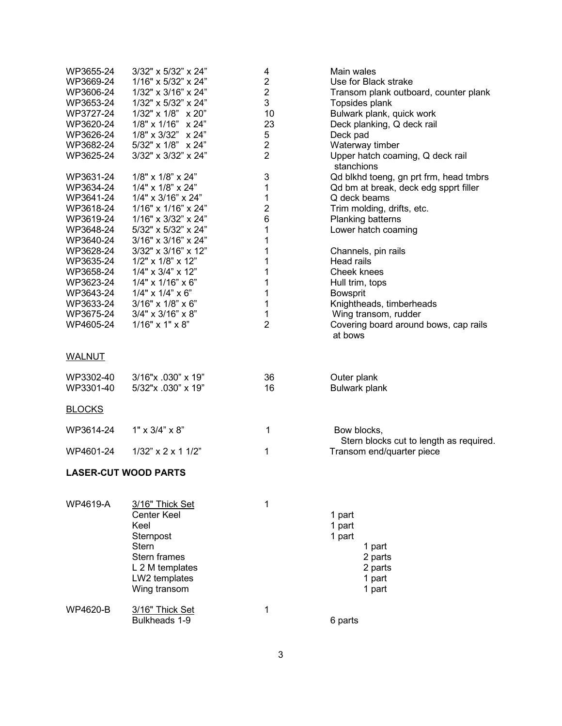| WP3655-24<br>WP3669-24<br>WP3606-24<br>WP3653-24<br>WP3727-24<br>WP3620-24<br>WP3626-24<br>WP3682-24<br>WP3625-24<br>WP3631-24 | 3/32" x 5/32" x 24"<br>1/16" x 5/32" x 24"<br>1/32" x 3/16" x 24"<br>1/32" x 5/32" x 24"<br>$1/32$ " x $1/8$ " x $20$ "<br>1/8" x 1/16" x 24"<br>1/8" x 3/32" x 24"<br>$5/32$ " x $1/8$ " x $24$ "<br>3/32" x 3/32" x 24"<br>1/8" x 1/8" x 24" | 4<br>$\mathbf{2}$<br>$\overline{c}$<br>3<br>10<br>23<br>5<br>$\mathbf{2}$<br>$\overline{2}$<br>3 | Main wales<br>Use for Black strake<br>Transom plank outboard, counter plank<br>Topsides plank<br>Bulwark plank, quick work<br>Deck planking, Q deck rail<br>Deck pad<br>Waterway timber<br>Upper hatch coaming, Q deck rail<br>stanchions<br>Qd blkhd toeng, gn prt frm, head tmbrs |
|--------------------------------------------------------------------------------------------------------------------------------|------------------------------------------------------------------------------------------------------------------------------------------------------------------------------------------------------------------------------------------------|--------------------------------------------------------------------------------------------------|-------------------------------------------------------------------------------------------------------------------------------------------------------------------------------------------------------------------------------------------------------------------------------------|
| WP3634-24<br>WP3641-24<br>WP3618-24                                                                                            | 1/4" x 1/8" x 24"<br>1/4" x 3/16" x 24"<br>1/16" x 1/16" x 24"                                                                                                                                                                                 | 1<br>1<br>$\boldsymbol{2}$                                                                       | Qd bm at break, deck edg spprt filler<br>Q deck beams<br>Trim molding, drifts, etc.                                                                                                                                                                                                 |
| WP3619-24<br>WP3648-24<br>WP3640-24                                                                                            | 1/16" x 3/32" x 24"<br>5/32" x 5/32" x 24"<br>3/16" x 3/16" x 24"                                                                                                                                                                              | 6<br>1<br>1                                                                                      | Planking batterns<br>Lower hatch coaming                                                                                                                                                                                                                                            |
| WP3628-24<br>WP3635-24<br>WP3658-24<br>WP3623-24<br>WP3643-24<br>WP3633-24<br>WP3675-24<br>WP4605-24                           | 3/32" x 3/16" x 12"<br>1/2" x 1/8" x 12"<br>$1/4$ " x $3/4$ " x $12$ "<br>$1/4$ " x $1/16$ " x 6"<br>$1/4$ " x $1/4$ " x 6"<br>$3/16"$ x $1/8"$ x $6"$<br>$3/4" \times 3/16" \times 8"$<br>$1/16" \times 1" \times 8"$                         | 1<br>1<br>1<br>1<br>1<br>1<br>1<br>$\overline{2}$                                                | Channels, pin rails<br>Head rails<br>Cheek knees<br>Hull trim, tops<br>Bowsprit<br>Knightheads, timberheads<br>Wing transom, rudder<br>Covering board around bows, cap rails<br>at bows                                                                                             |
| <b>WALNUT</b>                                                                                                                  |                                                                                                                                                                                                                                                |                                                                                                  |                                                                                                                                                                                                                                                                                     |
| WP3302-40<br>WP3301-40                                                                                                         | $3/16$ "x .030" x 19"<br>5/32"x .030" x 19"                                                                                                                                                                                                    | 36<br>16                                                                                         | Outer plank<br>Bulwark plank                                                                                                                                                                                                                                                        |
| <b>BLOCKS</b>                                                                                                                  |                                                                                                                                                                                                                                                |                                                                                                  |                                                                                                                                                                                                                                                                                     |
| WP3614-24                                                                                                                      | $1" \times 3/4" \times 8"$                                                                                                                                                                                                                     | 1                                                                                                | Bow blocks,<br>Stern blocks cut to length as required.                                                                                                                                                                                                                              |
| WP4601-24                                                                                                                      | $1/32$ " x 2 x 1 $1/2$ "                                                                                                                                                                                                                       | 1                                                                                                | Transom end/quarter piece                                                                                                                                                                                                                                                           |
| <b>LASER-CUT WOOD PARTS</b>                                                                                                    |                                                                                                                                                                                                                                                |                                                                                                  |                                                                                                                                                                                                                                                                                     |
| WP4619-A                                                                                                                       | 3/16" Thick Set<br><b>Center Keel</b><br>Keel<br>Sternpost<br><b>Stern</b><br>Stern frames<br>L 2 M templates<br>LW2 templates<br>Wing transom                                                                                                 | 1                                                                                                | 1 part<br>1 part<br>1 part<br>1 part<br>2 parts<br>2 parts<br>1 part<br>1 part                                                                                                                                                                                                      |
| WP4620-B                                                                                                                       | 3/16" Thick Set<br>Bulkheads 1-9                                                                                                                                                                                                               | 1                                                                                                | 6 parts                                                                                                                                                                                                                                                                             |